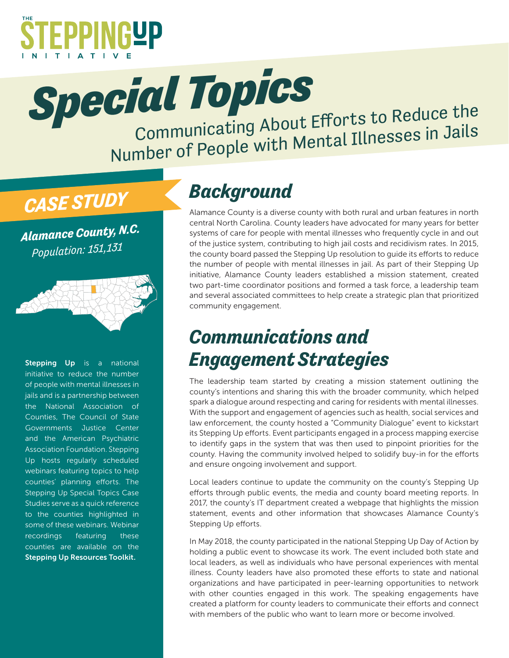

**Special Topics**<br>Communicating About Efforts to Reduce the

Number of People with Mental Illnesses in Jails

# *CASE STUDY*

*Alamance County, N.C. Population: 151,131*



[Stepping Up](http://stepuptogether.org/) is a national initiative to reduce the number of people with mental illnesses in jails and is a partnership between the National Association of Counties, The Council of State Governments Justice Center and the American Psychiatric Association Foundation. Stepping Up hosts regularly scheduled webinars featuring topics to help counties' planning efforts. The Stepping Up Special Topics Case Studies serve as a quick reference to the counties highlighted in some of these webinars. Webinar recordings featuring these counties are available on the [Stepping Up Resources Toolkit.](http://stepuptogether.org/Toolkit)

## *Background*

Alamance County is a diverse county with both rural and urban features in north central North Carolina. County leaders have advocated for many years for better systems of care for people with mental illnesses who frequently cycle in and out of the justice system, contributing to high jail costs and recidivism rates. In 2015, the county board passed the Stepping Up resolution to guide its efforts to reduce the number of people with mental illnesses in jail. As part of their Stepping Up initiative, Alamance County leaders established a mission statement, created two part-time coordinator positions and formed a task force, a leadership team and several associated committees to help create a strategic plan that prioritized community engagement.

### *Communications and Engagement Strategies*

The leadership team started by creating a mission statement outlining the county's intentions and sharing this with the broader community, which helped spark a dialogue around respecting and caring for residents with mental illnesses. With the support and engagement of agencies such as health, social services and law enforcement, the county hosted a "Community Dialogue" event to kickstart its Stepping Up efforts. Event participants engaged in a process mapping exercise to identify gaps in the system that was then used to pinpoint priorities for the county. Having the community involved helped to solidify buy-in for the efforts and ensure ongoing involvement and support.

Local leaders continue to update the community on the county's Stepping Up efforts through public events, the media and county board meeting reports. In 2017, the county's IT department created a webpage that highlights the mission statement, events and other information that showcases Alamance County's Stepping Up efforts.

In May 2018, the county participated in the national Stepping Up Day of Action by holding a public event to showcase its work. The event included both state and local leaders, as well as individuals who have personal experiences with mental illness. County leaders have also promoted these efforts to state and national organizations and have participated in peer-learning opportunities to network with other counties engaged in this work. The speaking engagements have created a platform for county leaders to communicate their efforts and connect with members of the public who want to learn more or become involved.